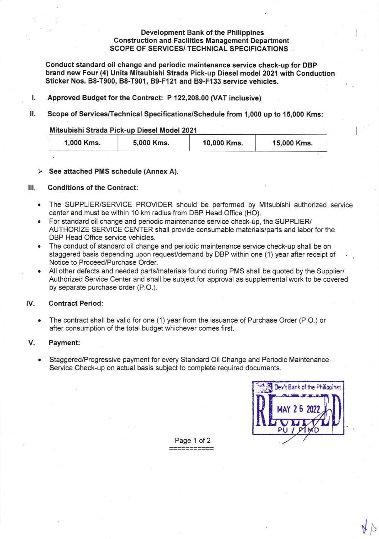# Development Bank of the Philippines Construction and Facilities Management Department SCOPE OF SERVICES/ TECHNICAL SPECIFIGATIONS

Conduct standard oil change and periodic maintenance service check-up for DBP brand new Four (4) Units Mitsubishi Strada Pick-up Diesel model 2021 with Conduction Sticker Nos. B8-T900, B8-T901, B9-F121 and B9-F133 service vehicles.

- L Approved Budget for the Contract: P 122,208.00 (VAT inclusive)
- il. Scope of Services/Technical Specifications/Schedule from 1,000 up to 15,000 Kms:

### Mitsubishi Strada Pick-up Diesel Model 2021

| 1,000 Kms. | 5,000 Kms. | 10,000 Kms. | 15,000 Kms. |  |
|------------|------------|-------------|-------------|--|
|            |            |             |             |  |

# > See attached PMS schedule (Annex A).

# lll. Conditions of the Contract:

- The SUPPLIERJSERVICE PROVIDER should be performed by Mitsubishi authorized service center and must be within 10 km radius from DBP Head Office (HO).  $\bullet$
- For standard oil change and periodic maintenance service check-up, the SUPFLIER/ AUTHORIZE SERVICE CENTER shall provide consumable materials/parts and labor for the DBP Head Office service vehicles.
- The conduct of standard oil change and periodic maintenance service check-up shall be on staggered basis depending upon request/demand by DBP within one (1) year after receipt of Notice to Proceed/Purchase Order.
- All other defects and needed parts/materials found during PMS shall be quoted by the Supplier/  $\bullet$ Authorized Service Center and shall be subject for approval as supplemental work to be covered by separate purchase order (P.O.).

# lV. Contract Period:

The contract shall be valid for one (1) year from the issuance of Purchase Order (P.O.) or  $\bullet$ after consumption of the total budget whichever comes first.

# V. Payment:

Staggered/Progressive payment for every Standard Oil Change and Periodic Maintenance  $\bullet$ Service Check-up on actual basis subject to complete required documents.



 $46$ 

Page 1 of 2 ===========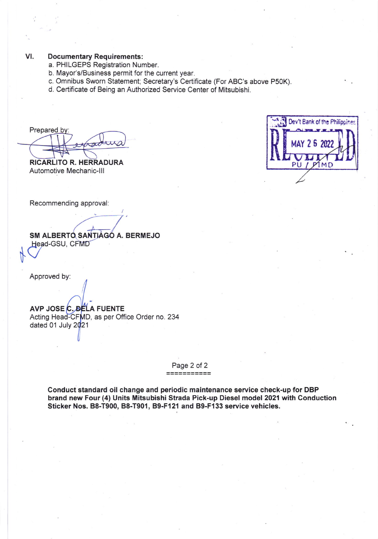#### $VI.$ **Documentary Requirements:**

- a. PHILGEPS Registration Number.
- b. Mayor's/Business permit for the current year.
- c. Omnibus Sworn Statement; Secretary's Certificate (For ABC's above P50K).
- d. Certificate of Being an Authorized Service Center of Mitsubishi.

Prepared by:

**RICARLITO R. HERRADURA** Automotive Mechanic-III

Recommending approval:

SM ALBERTO SANTIAGO A. BERMEJO Head-GSU, CFMD

Approved by:

AVP JOSE C. DELA FUENTE Acting Head-CFMD, as per Office Order no. 234 dated 01 July 2021

Page 2 of 2

Conduct standard oil change and periodic maintenance service check-up for DBP brand new Four (4) Units Mitsubishi Strada Pick-up Diesel model 2021 with Conduction Sticker Nos. B8-T900, B8-T901, B9-F121 and B9-F133 service vehicles.

| Dev't Bank of the Philippines |  |
|-------------------------------|--|
| MAY 2 6 2022                  |  |
| PU<br>MD                      |  |